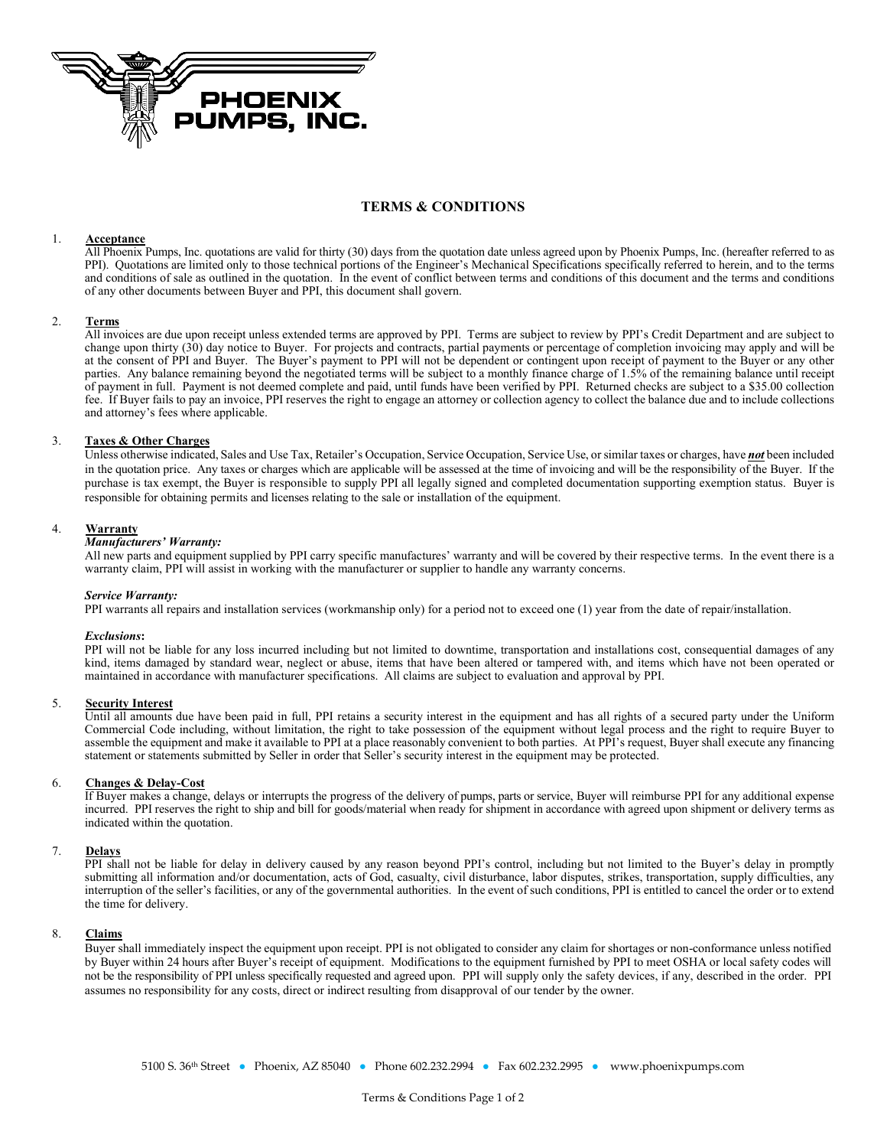

# **TERMS & CONDITIONS**

# 1. **Acceptance**

All Phoenix Pumps, Inc. quotations are valid for thirty (30) days from the quotation date unless agreed upon by Phoenix Pumps, Inc. (hereafter referred to as PPI). Quotations are limited only to those technical portions of the Engineer's Mechanical Specifications specifically referred to herein, and to the terms and conditions of sale as outlined in the quotation. In the event of conflict between terms and conditions of this document and the terms and conditions of any other documents between Buyer and PPI, this document shall govern.

## 2. **Terms**

All invoices are due upon receipt unless extended terms are approved by PPI. Terms are subject to review by PPI's Credit Department and are subject to change upon thirty (30) day notice to Buyer. For projects and contracts, partial payments or percentage of completion invoicing may apply and will be at the consent of PPI and Buyer. The Buyer's payment to PPI will not be dependent or contingent upon receipt of payment to the Buyer or any other parties. Any balance remaining beyond the negotiated terms will be subject to a monthly finance charge of 1.5% of the remaining balance until receipt of payment in full. Payment is not deemed complete and paid, until funds have been verified by PPI. Returned checks are subject to a \$35.00 collection fee. If Buyer fails to pay an invoice, PPI reserves the right to engage an attorney or collection agency to collect the balance due and to include collections and attorney's fees where applicable.

# 3. **Taxes & Other Charges**

Unless otherwise indicated, Sales and Use Tax, Retailer's Occupation, Service Occupation, Service Use, or similar taxes or charges, have *not* been included in the quotation price. Any taxes or charges which are applicable will be assessed at the time of invoicing and will be the responsibility of the Buyer. If the purchase is tax exempt, the Buyer is responsible to supply PPI all legally signed and completed documentation supporting exemption status. Buyer is responsible for obtaining permits and licenses relating to the sale or installation of the equipment.

## 4. **Warranty**

### *Manufacturers' Warranty:*

All new parts and equipment supplied by PPI carry specific manufactures' warranty and will be covered by their respective terms. In the event there is a warranty claim, PPI will assist in working with the manufacturer or supplier to handle any warranty concerns.

#### *Service Warranty:*

PPI warrants all repairs and installation services (workmanship only) for a period not to exceed one (1) year from the date of repair/installation.

#### *Exclusions***:**

PPI will not be liable for any loss incurred including but not limited to downtime, transportation and installations cost, consequential damages of any kind, items damaged by standard wear, neglect or abuse, items that have been altered or tampered with, and items which have not been operated or maintained in accordance with manufacturer specifications. All claims are subject to evaluation and approval by PPI.

#### 5. **Security Interest**

Until all amounts due have been paid in full, PPI retains a security interest in the equipment and has all rights of a secured party under the Uniform Commercial Code including, without limitation, the right to take possession of the equipment without legal process and the right to require Buyer to assemble the equipment and make it available to PPI at a place reasonably convenient to both parties. At PPI's request, Buyer shall execute any financing statement or statements submitted by Seller in order that Seller's security interest in the equipment may be protected.

#### 6. **Changes & Delay-Cost**

If Buyer makes a change, delays or interrupts the progress of the delivery of pumps, parts or service, Buyer will reimburse PPI for any additional expense incurred. PPI reserves the right to ship and bill for goods/material when ready for shipment in accordance with agreed upon shipment or delivery terms as indicated within the quotation.

# 7. **Delays**

PPI shall not be liable for delay in delivery caused by any reason beyond PPI's control, including but not limited to the Buyer's delay in promptly submitting all information and/or documentation, acts of God, casualty, civil disturbance, labor disputes, strikes, transportation, supply difficulties, any interruption of the seller's facilities, or any of the governmental authorities. In the event of such conditions, PPI is entitled to cancel the order or to extend the time for delivery.

# 8. **Claims**

Buyer shall immediately inspect the equipment upon receipt. PPI is not obligated to consider any claim for shortages or non-conformance unless notified by Buyer within 24 hours after Buyer's receipt of equipment. Modifications to the equipment furnished by PPI to meet OSHA or local safety codes will not be the responsibility of PPI unless specifically requested and agreed upon. PPI will supply only the safety devices, if any, described in the order. PPI assumes no responsibility for any costs, direct or indirect resulting from disapproval of our tender by the owner.